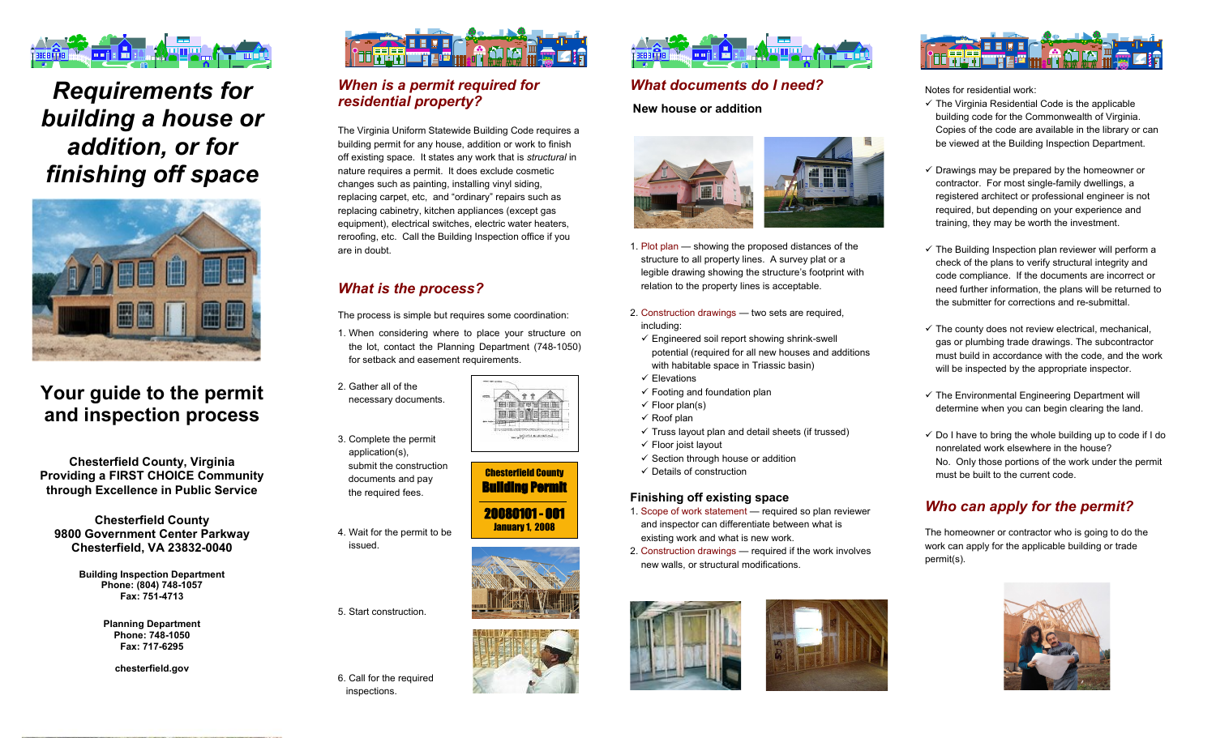

# *Requirements for building a house or addition, or for finishing off space*



# **Your guide to the permit and inspection process**

**Chesterfield County, Virginia Providing a FIRST CHOICE Community through Excellence in Public Service**

**Chesterfield County 9800 Government Center Parkway Chesterfield, VA 23832-0040**

> **Building Inspection Department Phone: (804) 748-1057 Fax: 751-4713**

> > **Planning Department Phone: 748-1050 Fax: 717-6295**

> > > **chesterfield.gov**



# *When is a permit required for residential property?*

The Virginia Uniform Statewide Building Code requires a building permit for any house, addition or work to finish off existing space. It states any work that is *structural* in nature requires a permit. It does exclude cosmetic changes such as painting, installing vinyl siding, replacing carpet, etc, and "ordinary" repairs such as replacing cabinetry, kitchen appliances (except gas equipment), electrical switches, electric water heaters, reroofing, etc. Call the Building Inspection office if you are in doubt.

# *What is the process?*

The process is simple but requires some coordination:

1. When considering where to place your structure on the lot, contact the Planning Department (748-1050) for setback and easement requirements.

2. Gather all of the necessary documents.

3. Complete the permit application(s), submit the construction documents and pay the required fees.

4. Wait for the permit to be issued.

5. Start construction.

6. Call for the required inspections.



Chesterfield County Building Permit

 $\mathbf{11}$ 里面 的复数庄 **Contract a Monday** 

20080101 - 001 January 1, 2008





### *What documents do I need?*

**New house or addition** 



- 1. Plot plan showing the proposed distances of the structure to all property lines. A survey plat or a legible drawing showing the structure's footprint with relation to the property lines is acceptable.
- 2. Construction drawings two sets are required, including:
- $\checkmark$  Engineered soil report showing shrink-swell potential (required for all new houses and additions with habitable space in Triassic basin)
- $\checkmark$  Elevations
- $\checkmark$  Footing and foundation plan
- $\checkmark$  Floor plan(s)
- $\checkmark$  Roof plan
- $\checkmark$  Truss layout plan and detail sheets (if trussed)
- $\checkmark$  Floor joist layout
- $\checkmark$  Section through house or addition
- $\checkmark$  Details of construction

#### **Finishing off existing space**

- 1. Scope of work statement required so plan reviewer and inspector can differentiate between what is existing work and what is new work.
- 2. Construction drawings required if the work involves new walls, or structural modifications.







Notes for residential work:

- $\checkmark$  The Virginia Residential Code is the applicable building code for the Commonwealth of Virginia. Copies of the code are available in the library or can be viewed at the Building Inspection Department.
- $\checkmark$  Drawings may be prepared by the homeowner or contractor. For most single-family dwellings, a registered architect or professional engineer is not required, but depending on your experience and training, they may be worth the investment.
- $\checkmark$  The Building Inspection plan reviewer will perform a check of the plans to verify structural integrity and code compliance. If the documents are incorrect or need further information, the plans will be returned to the submitter for corrections and re-submittal.
- $\checkmark$  The county does not review electrical, mechanical, gas or plumbing trade drawings. The subcontractor must build in accordance with the code, and the work will be inspected by the appropriate inspector.
- $\checkmark$  The Environmental Engineering Department will determine when you can begin clearing the land.
- $\checkmark$  Do I have to bring the whole building up to code if I do nonrelated work elsewhere in the house? No. Only those portions of the work under the permit must be built to the current code.

# *Who can apply for the permit?*

The homeowner or contractor who is going to do the work can apply for the applicable building or trade permit(s).